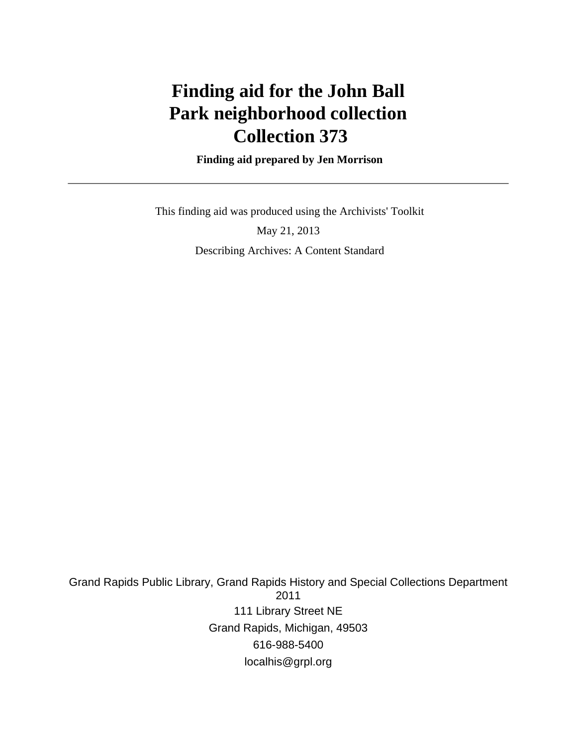# **Finding aid for the John Ball Park neighborhood collection Collection 373**

 **Finding aid prepared by Jen Morrison**

This finding aid was produced using the Archivists' Toolkit

May 21, 2013 Describing Archives: A Content Standard

Grand Rapids Public Library, Grand Rapids History and Special Collections Department 2011 111 Library Street NE Grand Rapids, Michigan, 49503 616-988-5400 localhis@grpl.org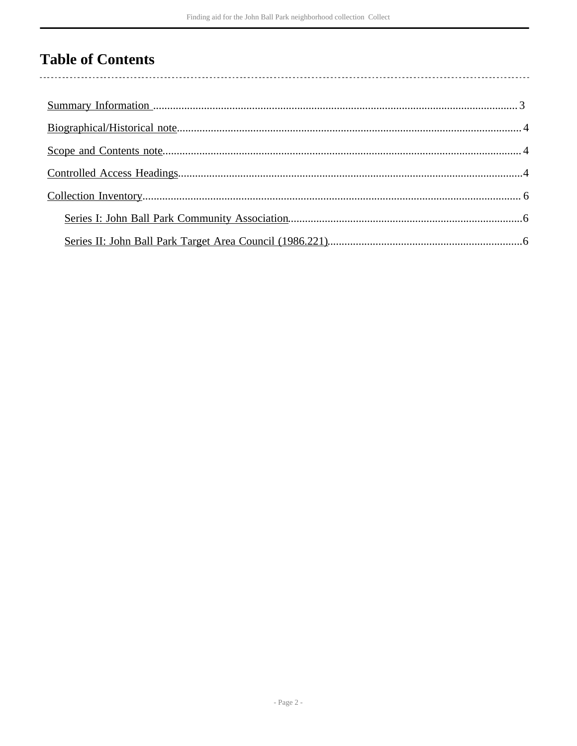## **Table of Contents**

l,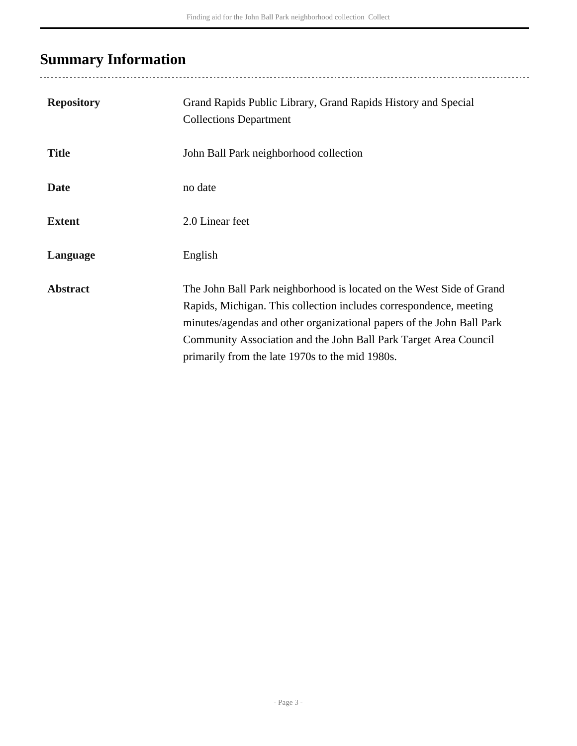## <span id="page-2-0"></span>**Summary Information**

| <b>Repository</b> | Grand Rapids Public Library, Grand Rapids History and Special<br><b>Collections Department</b>                                                                                                                                                                                                                                             |
|-------------------|--------------------------------------------------------------------------------------------------------------------------------------------------------------------------------------------------------------------------------------------------------------------------------------------------------------------------------------------|
| <b>Title</b>      | John Ball Park neighborhood collection                                                                                                                                                                                                                                                                                                     |
| <b>Date</b>       | no date                                                                                                                                                                                                                                                                                                                                    |
| <b>Extent</b>     | 2.0 Linear feet                                                                                                                                                                                                                                                                                                                            |
| Language          | English                                                                                                                                                                                                                                                                                                                                    |
| <b>Abstract</b>   | The John Ball Park neighborhood is located on the West Side of Grand<br>Rapids, Michigan. This collection includes correspondence, meeting<br>minutes/agendas and other organizational papers of the John Ball Park<br>Community Association and the John Ball Park Target Area Council<br>primarily from the late 1970s to the mid 1980s. |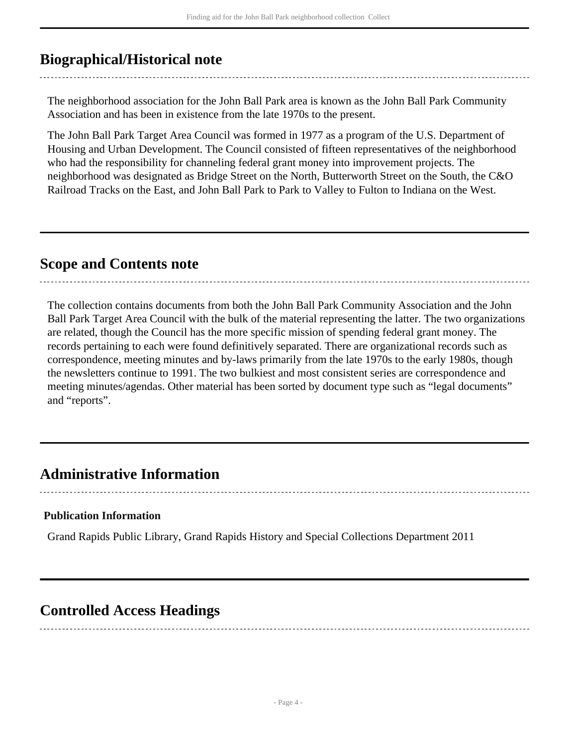## <span id="page-3-0"></span>**Biographical/Historical note**

The neighborhood association for the John Ball Park area is known as the John Ball Park Community Association and has been in existence from the late 1970s to the present.

The John Ball Park Target Area Council was formed in 1977 as a program of the U.S. Department of Housing and Urban Development. The Council consisted of fifteen representatives of the neighborhood who had the responsibility for channeling federal grant money into improvement projects. The neighborhood was designated as Bridge Street on the North, Butterworth Street on the South, the C&O Railroad Tracks on the East, and John Ball Park to Park to Valley to Fulton to Indiana on the West.

## <span id="page-3-1"></span>**Scope and Contents note**

The collection contains documents from both the John Ball Park Community Association and the John Ball Park Target Area Council with the bulk of the material representing the latter. The two organizations are related, though the Council has the more specific mission of spending federal grant money. The records pertaining to each were found definitively separated. There are organizational records such as correspondence, meeting minutes and by-laws primarily from the late 1970s to the early 1980s, though the newsletters continue to 1991. The two bulkiest and most consistent series are correspondence and meeting minutes/agendas. Other material has been sorted by document type such as "legal documents" and "reports".

### **Administrative Information**

#### **Publication Information**

Grand Rapids Public Library, Grand Rapids History and Special Collections Department 2011

### <span id="page-3-2"></span>**Controlled Access Headings**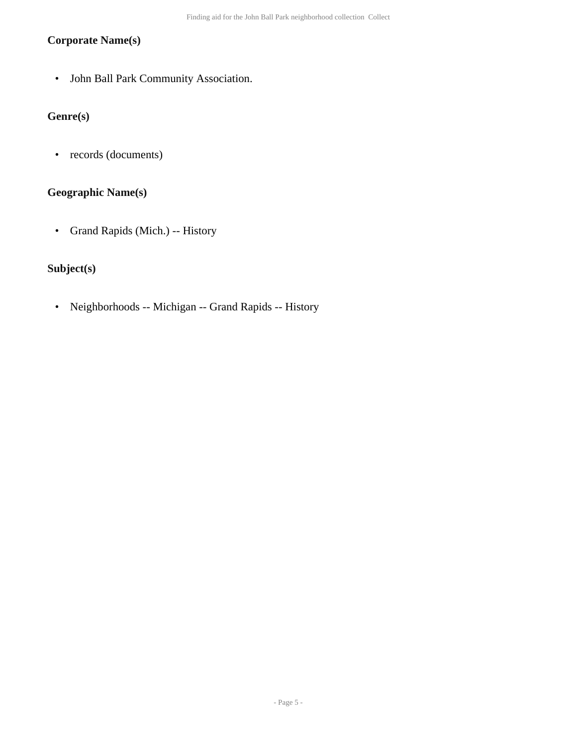#### **Corporate Name(s)**

• John Ball Park Community Association.

### **Genre(s)**

• records (documents)

#### **Geographic Name(s)**

• Grand Rapids (Mich.) -- History

#### **Subject(s)**

• Neighborhoods -- Michigan -- Grand Rapids -- History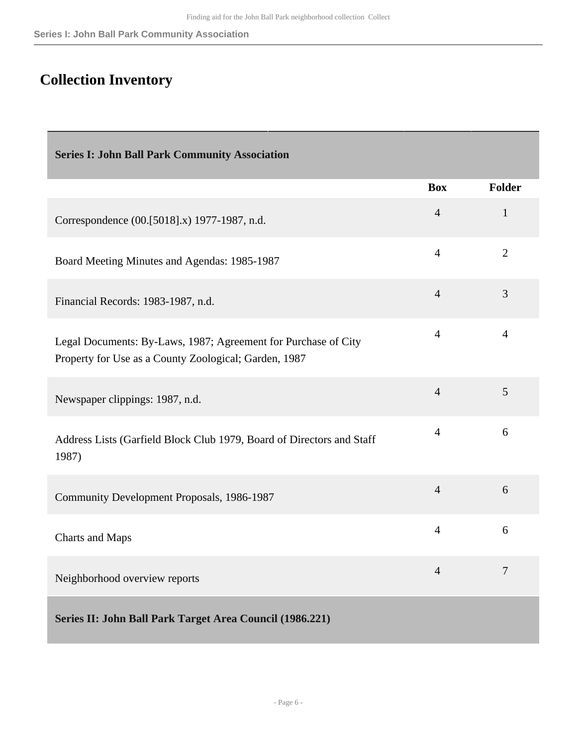## <span id="page-5-0"></span>**Collection Inventory**

<span id="page-5-2"></span><span id="page-5-1"></span>

| <b>Series I: John Ball Park Community Association</b>                                                                   |                |                |
|-------------------------------------------------------------------------------------------------------------------------|----------------|----------------|
|                                                                                                                         | <b>Box</b>     | <b>Folder</b>  |
| Correspondence (00.[5018].x) 1977-1987, n.d.                                                                            | $\overline{4}$ | $\mathbf{1}$   |
| Board Meeting Minutes and Agendas: 1985-1987                                                                            | $\overline{4}$ | $\overline{2}$ |
| Financial Records: 1983-1987, n.d.                                                                                      | $\overline{4}$ | 3              |
| Legal Documents: By-Laws, 1987; Agreement for Purchase of City<br>Property for Use as a County Zoological; Garden, 1987 | $\overline{4}$ | $\overline{4}$ |
| Newspaper clippings: 1987, n.d.                                                                                         | $\overline{4}$ | 5              |
| Address Lists (Garfield Block Club 1979, Board of Directors and Staff<br>1987)                                          | $\overline{4}$ | 6              |
| Community Development Proposals, 1986-1987                                                                              | $\overline{4}$ | 6              |
| <b>Charts and Maps</b>                                                                                                  | $\overline{4}$ | 6              |
| Neighborhood overview reports                                                                                           | $\overline{4}$ | $\overline{7}$ |
| Series II: John Ball Park Target Area Council (1986.221)                                                                |                |                |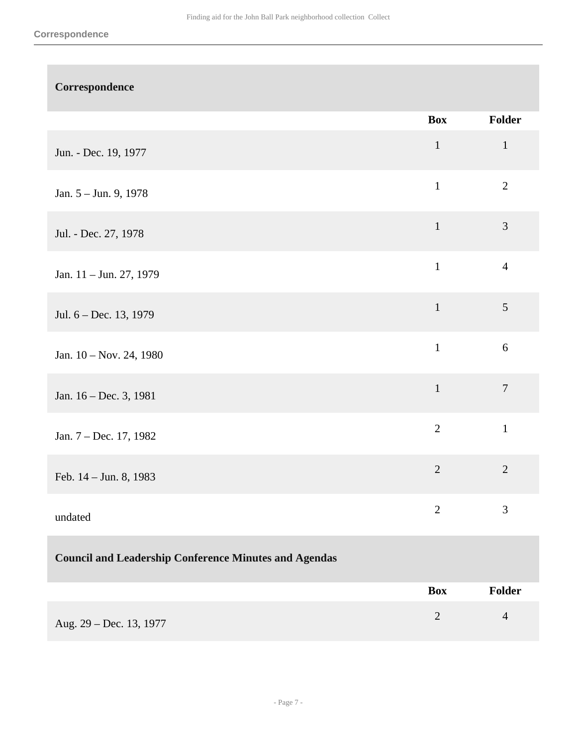| Correspondence                                               |                |                |
|--------------------------------------------------------------|----------------|----------------|
|                                                              | <b>Box</b>     | Folder         |
| Jun. - Dec. 19, 1977                                         | $\mathbf 1$    | $\mathbf{1}$   |
| Jan. 5 - Jun. 9, 1978                                        | $\mathbf{1}$   | $\overline{2}$ |
| Jul. - Dec. 27, 1978                                         | $\mathbf{1}$   | $\mathfrak{Z}$ |
| Jan. 11 – Jun. 27, 1979                                      | $\mathbf{1}$   | $\overline{4}$ |
| Jul. 6 - Dec. 13, 1979                                       | $\mathbf 1$    | $\mathfrak{S}$ |
| Jan. 10 - Nov. 24, 1980                                      | $\mathbf{1}$   | $6\,$          |
| Jan. 16 - Dec. 3, 1981                                       | $\mathbf 1$    | $\tau$         |
| Jan. 7 - Dec. 17, 1982                                       | $\overline{2}$ | $\mathbf{1}$   |
| Feb. $14 -$ Jun. 8, 1983                                     | $\sqrt{2}$     | $\sqrt{2}$     |
| undated                                                      | $\overline{2}$ | 3              |
| <b>Council and Leadership Conference Minutes and Agendas</b> |                |                |
|                                                              | <b>Box</b>     | Folder         |
| Aug. 29 - Dec. 13, 1977                                      | $\mathbf{2}$   | $\overline{4}$ |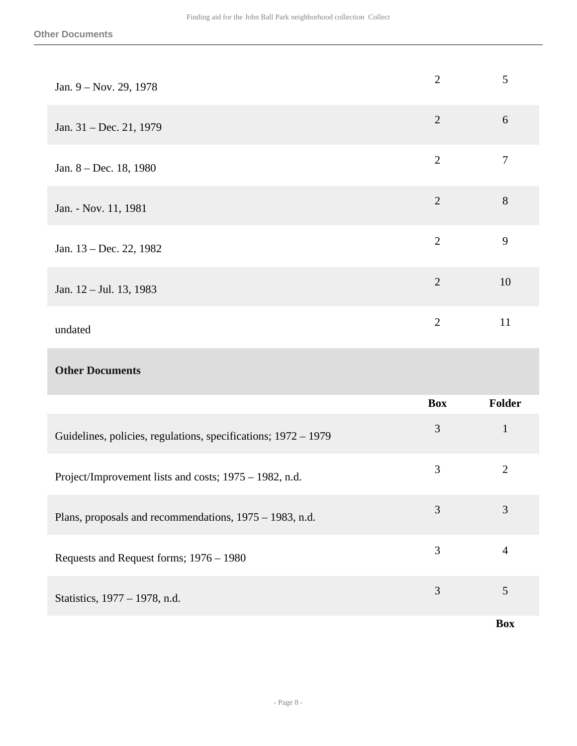| Jan. 9 – Nov. 29, 1978                                         | $\overline{2}$ | $\mathfrak{S}$ |
|----------------------------------------------------------------|----------------|----------------|
| Jan. 31 - Dec. 21, 1979                                        | $\overline{2}$ | $6\,$          |
| Jan. 8 - Dec. 18, 1980                                         | $\overline{2}$ | $\overline{7}$ |
| Jan. - Nov. 11, 1981                                           | $\overline{2}$ | 8              |
| Jan. 13 – Dec. 22, 1982                                        | $\overline{2}$ | 9              |
| Jan. 12 – Jul. 13, 1983                                        | $\overline{2}$ | 10             |
| undated                                                        | $\overline{2}$ | 11             |
| <b>Other Documents</b>                                         |                |                |
|                                                                | <b>Box</b>     | <b>Folder</b>  |
| Guidelines, policies, regulations, specifications; 1972 - 1979 | 3              | $\mathbf{1}$   |
| Project/Improvement lists and costs; 1975 - 1982, n.d.         | 3              | $\overline{2}$ |

| Plans, proposals and recommendations, 1975 – 1983, n.d. | 3 |  |
|---------------------------------------------------------|---|--|
| Requests and Request forms; 1976 – 1980                 | 3 |  |
| Statistics, 1977 – 1978, n.d.                           | 3 |  |

**Box**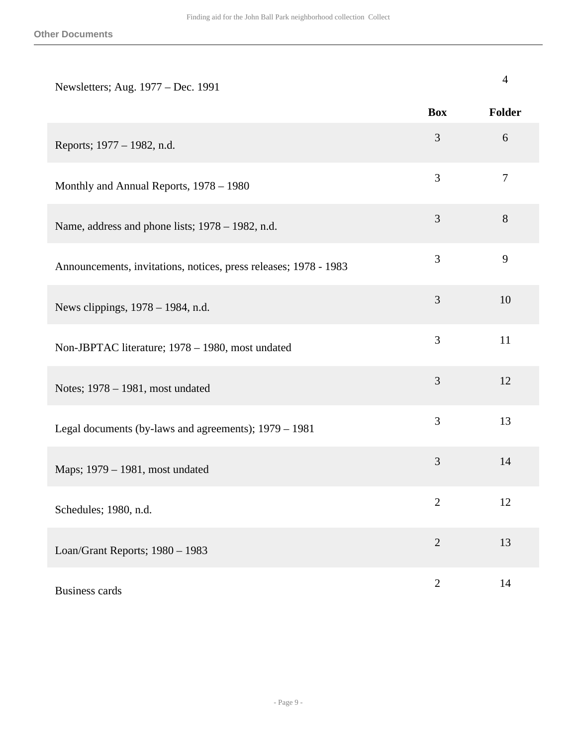| Newsletters; Aug. 1977 – Dec. 1991                               |                | $\overline{4}$ |
|------------------------------------------------------------------|----------------|----------------|
|                                                                  | <b>Box</b>     | Folder         |
| Reports; 1977 – 1982, n.d.                                       | 3              | 6              |
| Monthly and Annual Reports, 1978 - 1980                          | 3              | $\tau$         |
| Name, address and phone lists; 1978 – 1982, n.d.                 | 3              | 8              |
| Announcements, invitations, notices, press releases; 1978 - 1983 | 3              | 9              |
| News clippings, 1978 - 1984, n.d.                                | 3              | 10             |
| Non-JBPTAC literature; 1978 - 1980, most undated                 | 3              | 11             |
| Notes; 1978 – 1981, most undated                                 | 3              | 12             |
| Legal documents (by-laws and agreements); 1979 - 1981            | 3              | 13             |
| Maps; 1979 – 1981, most undated                                  | 3              | 14             |
| Schedules; 1980, n.d.                                            | $\mathbf{2}$   | 12             |
| Loan/Grant Reports; 1980 - 1983                                  | $\overline{2}$ | 13             |
| <b>Business cards</b>                                            | $\sqrt{2}$     | 14             |